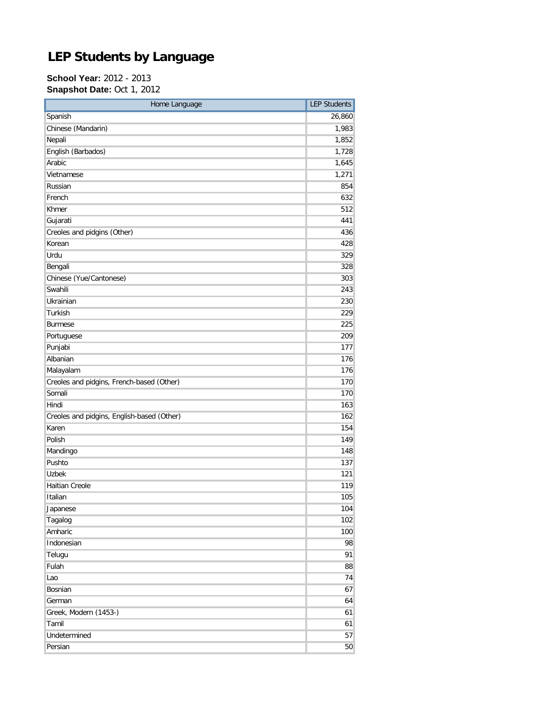## **LEP Students by Language**

## **School Year:** 2012 - 2013 **Snapshot Date:** Oct 1, 2012

| Home Language                              | <b>LEP Students</b> |
|--------------------------------------------|---------------------|
| Spanish                                    | 26,860              |
| Chinese (Mandarin)                         | 1,983               |
| Nepali                                     | 1,852               |
| English (Barbados)                         | 1,728               |
| Arabic                                     | 1,645               |
| Vietnamese                                 | 1,271               |
| Russian                                    | 854                 |
| French                                     | 632                 |
| Khmer                                      | 512                 |
| Gujarati                                   | 441                 |
| Creoles and pidgins (Other)                | 436                 |
| Korean                                     | 428                 |
| Urdu                                       | 329                 |
| Bengali                                    | 328                 |
| Chinese (Yue/Cantonese)                    | 303                 |
| Swahili                                    | 243                 |
| Ukrainian                                  | 230                 |
| Turkish                                    | 229                 |
| <b>Burmese</b>                             | 225                 |
| Portuguese                                 | 209                 |
| Punjabi                                    | 177                 |
| Albanian                                   | 176                 |
| Malayalam                                  | 176                 |
| Creoles and pidgins, French-based (Other)  | 170                 |
| Somali                                     | 170                 |
| Hindi                                      | 163                 |
| Creoles and pidgins, English-based (Other) | 162                 |
| Karen                                      | 154                 |
| Polish                                     | 149                 |
| Mandingo                                   | 148                 |
| Pushto                                     | 137                 |
| <b>Uzbek</b>                               | 121                 |
| <b>Haitian Creole</b>                      | 119                 |
| Italian                                    | 105                 |
| Japanese                                   | 104                 |
| Tagalog                                    | 102                 |
| Amharic                                    | 100                 |
| Indonesian                                 | 98                  |
| Telugu                                     | 91                  |
| Fulah                                      | 88                  |
| Lao                                        | 74                  |
| Bosnian                                    | 67                  |
| German                                     | 64                  |
| Greek, Modern (1453-)                      | 61                  |
| Tamil                                      | 61                  |
| Undetermined                               | 57                  |
| Persian                                    | 50                  |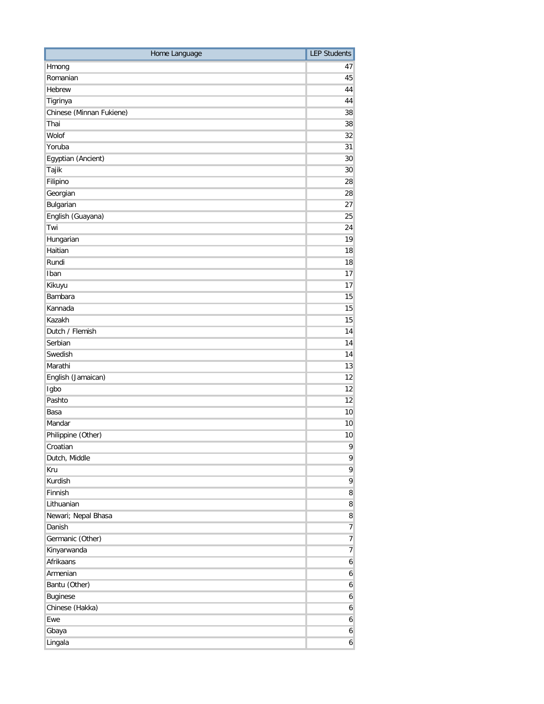| Home Language            | <b>LEP Students</b> |
|--------------------------|---------------------|
| Hmong                    | 47                  |
| Romanian                 | 45                  |
| Hebrew                   | 44                  |
| Tigrinya                 | 44                  |
| Chinese (Minnan Fukiene) | 38                  |
| Thai                     | 38                  |
| Wolof                    | 32                  |
| Yoruba                   | 31                  |
| Egyptian (Ancient)       | 30                  |
| Tajik                    | 30                  |
| Filipino                 | 28                  |
| Georgian                 | 28                  |
| Bulgarian                | 27                  |
| English (Guayana)        | 25                  |
| Twi                      | 24                  |
| Hungarian                | 19                  |
| Haitian                  | 18                  |
| Rundi                    | 18                  |
| Iban                     | 17                  |
| Kikuyu                   | 17                  |
| Bambara                  | 15                  |
| Kannada                  | 15                  |
| Kazakh                   | 15                  |
| Dutch / Flemish          | 14                  |
| Serbian                  | 14                  |
| Swedish                  | 14                  |
| Marathi                  | 13                  |
| English (Jamaican)       | 12                  |
| Igbo                     | 12                  |
| Pashto                   | 12                  |
| Basa                     | 10                  |
| Mandar                   | 10                  |
| Philippine (Other)       | 10                  |
| Croatian                 | 9                   |
| Dutch, Middle            | 9                   |
| Kru                      | 9                   |
| Kurdish                  | 9                   |
| Finnish                  | 8                   |
| Lithuanian               | 8                   |
| Newari; Nepal Bhasa      | 8                   |
| Danish                   | $\overline{7}$      |
| Germanic (Other)         | $\overline{7}$      |
| Kinyarwanda              | $\overline{7}$      |
| Afrikaans                | $\boldsymbol{6}$    |
| Armenian                 | 6                   |
| Bantu (Other)            | 6                   |
| Buginese                 | 6                   |
| Chinese (Hakka)          | 6                   |
| Ewe                      | 6                   |
| Gbaya                    | 6                   |
| Lingala                  | 6                   |
|                          |                     |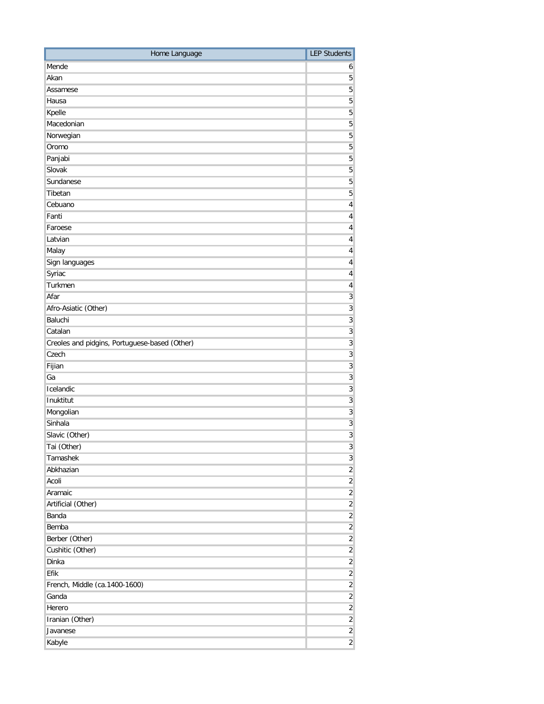| Home Language                                 | <b>LEP Students</b>     |
|-----------------------------------------------|-------------------------|
| Mende                                         | 6                       |
| Akan                                          | 5                       |
| Assamese                                      | 5                       |
| Hausa                                         | 5                       |
| Kpelle                                        | 5                       |
| Macedonian                                    | 5                       |
| Norwegian                                     | 5                       |
| Oromo                                         | 5                       |
| Panjabi                                       | 5                       |
| Slovak                                        | $\overline{5}$          |
| Sundanese                                     | 5                       |
| Tibetan                                       | 5                       |
| Cebuano                                       | 4                       |
| Fanti                                         | 4                       |
| Faroese                                       | 4                       |
| Latvian                                       | 4                       |
| Malay                                         | 4                       |
| Sign languages                                | $\overline{4}$          |
| Syriac                                        | 4                       |
| Turkmen                                       | $\overline{\mathbf{r}}$ |
| Afar                                          | $\overline{3}$          |
| Afro-Asiatic (Other)                          | $\overline{3}$          |
| Baluchi                                       | $\overline{3}$          |
| Catalan                                       | $\overline{3}$          |
| Creoles and pidgins, Portuguese-based (Other) | $\overline{3}$          |
| Czech                                         | $\overline{3}$          |
| Fijian                                        | $\overline{3}$          |
| Ga                                            | $\overline{3}$          |
| Icelandic                                     | $\overline{3}$          |
| Inuktitut                                     | $\overline{3}$          |
| Mongolian                                     | $\overline{3}$          |
| Sinhala                                       | $\overline{3}$          |
| Slavic (Other)                                | $\overline{3}$          |
| Tai (Other)                                   | $\mathbf{3}$            |
| Tamashek                                      | $\overline{3}$          |
| Abkhazian                                     | $\overline{2}$          |
| Acoli                                         | $\overline{2}$          |
| Aramaic                                       | $\overline{2}$          |
| Artificial (Other)                            | $\overline{2}$          |
| Banda                                         | $\overline{c}$          |
| Bemba                                         | $\overline{c}$          |
| Berber (Other)                                | $\overline{2}$          |
| Cushitic (Other)                              | $\overline{2}$          |
| Dinka                                         | $\overline{c}$          |
| Efik                                          | $\overline{2}$          |
| French, Middle (ca.1400-1600)                 | $\overline{2}$          |
| Ganda                                         | $\overline{c}$          |
| Herero                                        | $\overline{\mathbf{2}}$ |
| Iranian (Other)                               | $\overline{2}$          |
| Javanese                                      | $\overline{2}$          |
| Kabyle                                        | $\overline{2}$          |
|                                               |                         |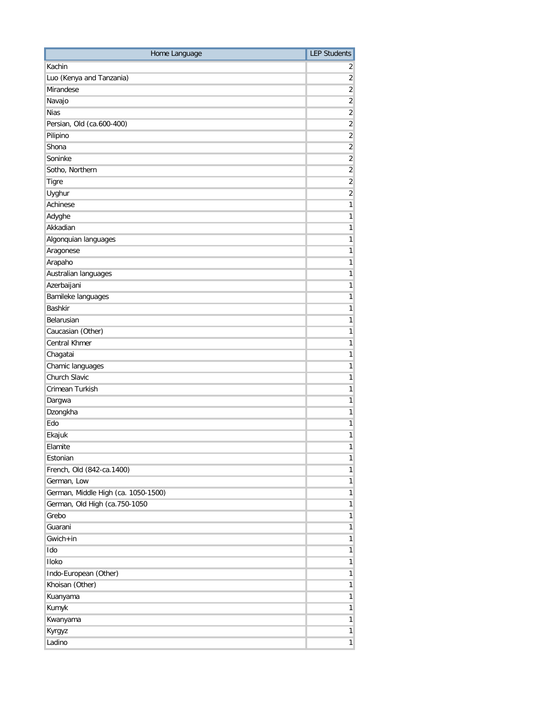| Home Language                       | <b>LEP Students</b> |
|-------------------------------------|---------------------|
| Kachin                              | 2                   |
| Luo (Kenya and Tanzania)            | $\overline{2}$      |
| Mirandese                           | $\overline{2}$      |
| Navajo                              | $\overline{2}$      |
| <b>Nias</b>                         | $\overline{2}$      |
| Persian, Old (ca.600-400)           | $\overline{2}$      |
| Pilipino                            | $\overline{2}$      |
| Shona                               | $\overline{2}$      |
| Soninke                             | $\overline{2}$      |
| Sotho, Northern                     | $\overline{2}$      |
| Tigre                               | $\overline{2}$      |
| Uyghur                              | $\overline{2}$      |
| Achinese                            | $\mathbf{1}$        |
| Adyghe                              | $\mathbf{1}$        |
| Akkadian                            | 1                   |
| Algonquian languages                | $\mathbf{1}$        |
| Aragonese                           | $\mathbf{1}$        |
| Arapaho                             | 1                   |
| Australian languages                | $\mathbf{1}$        |
| Azerbaijani                         | 1                   |
| Bamileke languages                  | $\mathbf{1}$        |
| <b>Bashkir</b>                      | 1                   |
| Belarusian                          | 1                   |
| Caucasian (Other)                   | $\mathbf{1}$        |
| <b>Central Khmer</b>                | 1                   |
| Chagatai                            | 1                   |
| Chamic languages                    | $\mathbf{1}$        |
| Church Slavic                       | 1                   |
| Crimean Turkish                     | $\mathbf{1}$        |
| Dargwa                              | $\mathbf{1}$        |
| Dzongkha                            | $\mathbf{1}$        |
| Edo                                 | 1                   |
| Ekajuk                              | 1                   |
| Elamite                             | 1                   |
| Estonian                            | $\mathbf{1}$        |
| French, Old (842-ca.1400)           | $\mathbf{1}$        |
| German, Low                         | $\mathbf{1}$        |
| German, Middle High (ca. 1050-1500) | $\mathbf{1}$        |
| German, Old High (ca.750-1050       | $\mathbf{1}$        |
| Grebo                               | $\mathbf{1}$        |
| Guarani                             | 1                   |
| $Gwich + in$                        | 1                   |
| Ido                                 | 1 <sup>1</sup>      |
| Iloko                               | $\mathbf{1}$        |
| Indo-European (Other)               | $\mathbf{1}$        |
| Khoisan (Other)                     | 1                   |
| Kuanyama                            | $\mathbf{1}$        |
| Kumyk                               | 1 <sup>1</sup>      |
| Kwanyama                            | $\mathbf{1}$        |
|                                     | $\mathbf{1}$        |
| Kyrgyz                              |                     |
| Ladino                              | $\mathbf{1}$        |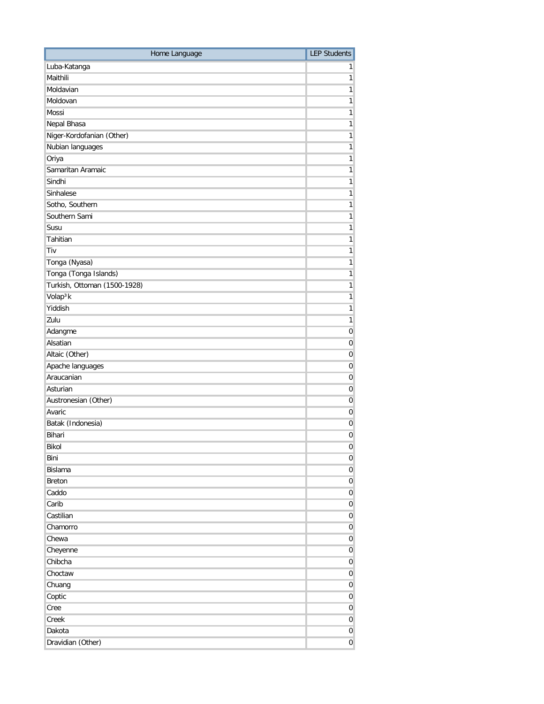| Home Language                | <b>LEP Students</b> |
|------------------------------|---------------------|
| Luba-Katanga                 | 1                   |
| Maithili                     | $\mathbf{1}$        |
| Moldavian                    | 1                   |
| Moldovan                     | $\mathbf{1}$        |
| Mossi                        | $\mathbf{1}$        |
| Nepal Bhasa                  | $\mathbf{1}$        |
| Niger-Kordofanian (Other)    | $\mathbf{1}$        |
| Nubian languages             | $\mathbf{1}$        |
| Oriya                        | 1                   |
| Samaritan Aramaic            | $\mathbf{1}$        |
| Sindhi                       | $\mathbf{1}$        |
| Sinhalese                    | $\mathbf{1}$        |
| Sotho, Southern              | $\mathbf{1}$        |
| Southern Sami                | $\mathbf{1}$        |
| Susu                         | 1                   |
| Tahitian                     | $\mathbf{1}$        |
| Tiv                          | $\mathbf{1}$        |
| Tonga (Nyasa)                | $\mathbf{1}$        |
| Tonga (Tonga Islands)        | $\mathbf{1}$        |
| Turkish, Ottoman (1500-1928) | $\mathbf{1}$        |
| Volap <sup>3</sup> k         | $\mathbf{1}$        |
| Yiddish                      | $\mathbf{1}$        |
| Zulu                         | $\mathbf{1}$        |
| Adangme                      | $\boldsymbol{0}$    |
| Alsatian                     | $\mathbf 0$         |
| Altaic (Other)               | $\mathbf 0$         |
| Apache languages             | 0                   |
| Araucanian                   | $\mathbf 0$         |
| Asturian                     | $\mathbf 0$         |
| Austronesian (Other)         | $\mathbf 0$         |
| Avaric                       | $\mathbf 0$         |
| Batak (Indonesia)            | 0                   |
| Bihari                       | 0                   |
| Bikol                        | $\overline{0}$      |
| Bini                         | $\boldsymbol{0}$    |
| <b>Bislama</b>               | $\overline{0}$      |
| Breton                       | $\overline{0}$      |
| Caddo                        | $\boldsymbol{0}$    |
| Carib                        | $\boldsymbol{0}$    |
| Castilian                    | $\overline{0}$      |
| Chamorro                     | $\overline{0}$      |
| Chewa                        | $\overline{0}$      |
| Cheyenne                     | $\overline{0}$      |
| Chibcha                      | $\boldsymbol{0}$    |
| Choctaw                      | $\boldsymbol{0}$    |
| Chuang                       | $\boldsymbol{0}$    |
| Coptic                       | $\boldsymbol{0}$    |
| Cree                         | $\boldsymbol{0}$    |
| Creek                        | $\overline{0}$      |
| Dakota                       | $\overline{0}$      |
| Dravidian (Other)            | $\overline{0}$      |
|                              |                     |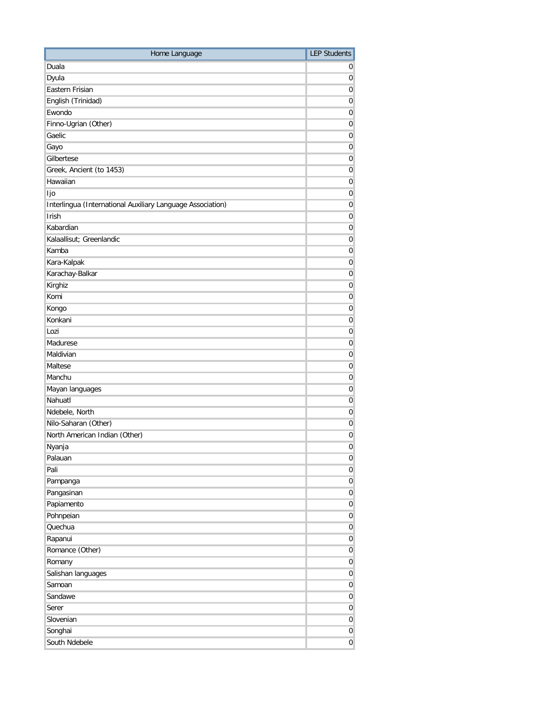| Home Language                                              | <b>LEP Students</b> |
|------------------------------------------------------------|---------------------|
| Duala                                                      | 0                   |
| Dyula                                                      | 0                   |
| Eastern Frisian                                            | 0                   |
| English (Trinidad)                                         | 0                   |
| Ewondo                                                     | 0                   |
| Finno-Ugrian (Other)                                       | 0                   |
| Gaelic                                                     | 0                   |
| Gayo                                                       | 0                   |
| Gilbertese                                                 | 0                   |
| Greek, Ancient (to 1453)                                   | 0                   |
| Hawaiian                                                   | 0                   |
| ljo                                                        | 0                   |
| Interlingua (International Auxiliary Language Association) | $\mathbf 0$         |
| Irish                                                      | $\mathbf 0$         |
| Kabardian                                                  | 0                   |
| Kalaallisut; Greenlandic                                   | 0                   |
| Kamba                                                      | 0                   |
| Kara-Kalpak                                                | 0                   |
| Karachay-Balkar                                            | 0                   |
| Kirghiz                                                    | 0                   |
| Komi                                                       | 0                   |
| Kongo                                                      | 0                   |
| Konkani                                                    | 0                   |
| Lozi                                                       | 0                   |
| Madurese                                                   | 0                   |
| Maldivian                                                  | $\mathbf 0$         |
| Maltese                                                    | 0                   |
| Manchu                                                     | 0                   |
| Mayan languages                                            | 0                   |
| Nahuatl                                                    | 0                   |
| Ndebele, North                                             | 0                   |
| Nilo-Saharan (Other)                                       | 0                   |
| North American Indian (Other)                              | 0                   |
| Nyanja                                                     | $\overline{0}$      |
| Palauan                                                    | $\boldsymbol{0}$    |
| Pali                                                       | $\overline{0}$      |
| Pampanga                                                   | $\overline{0}$      |
| Pangasinan                                                 | $\boldsymbol{0}$    |
| Papiamento                                                 | $\overline{0}$      |
| Pohnpeian                                                  | $\overline{0}$      |
| Quechua                                                    | $\overline{0}$      |
| Rapanui                                                    | $\overline{0}$      |
| Romance (Other)                                            | $\overline{0}$      |
| Romany                                                     | $\overline{0}$      |
| Salishan languages                                         | $\overline{0}$      |
| Samoan                                                     | $\overline{0}$      |
| Sandawe                                                    | $\boldsymbol{0}$    |
| Serer                                                      | $\overline{0}$      |
| Slovenian                                                  | $\overline{0}$      |
| Songhai                                                    | $\overline{0}$      |
| South Ndebele                                              | $\overline{0}$      |
|                                                            |                     |